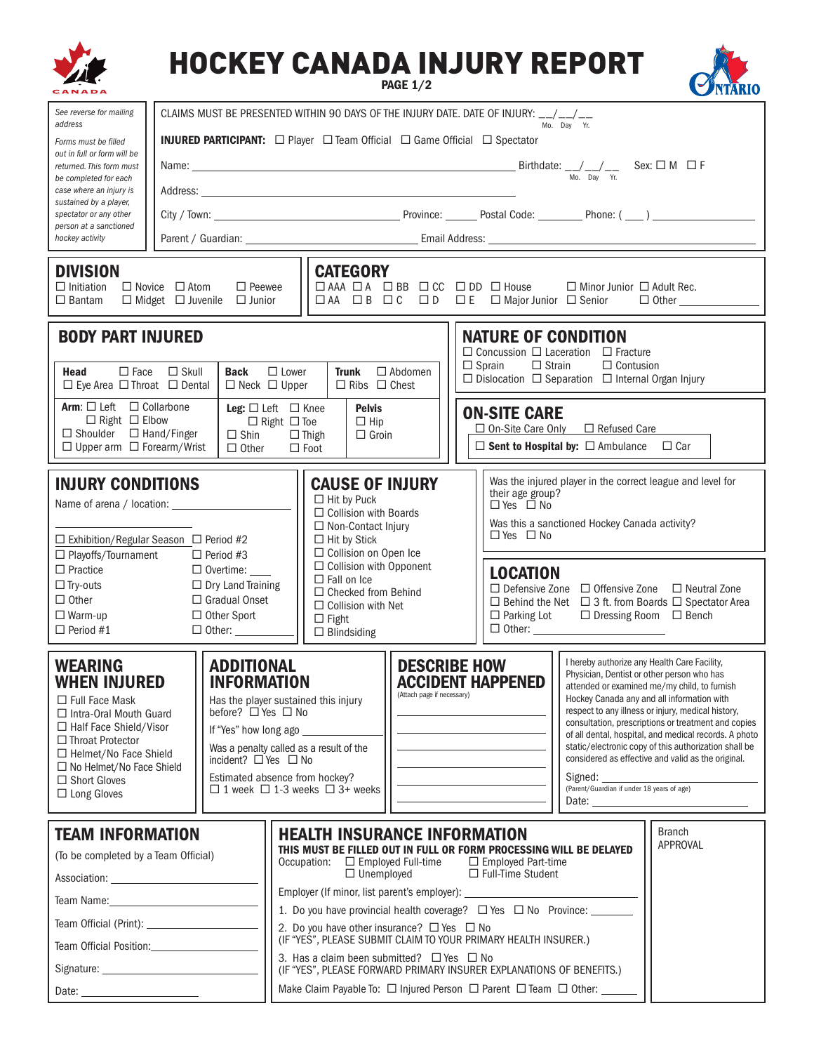| See reverse for mailing<br>CLAIMS MUST BE PRESENTED WITHIN 90 DAYS OF THE INJURY DATE. DATE OF INJURY: __/__/__<br>address<br>Mo. Day Yr.<br><b>INJURED PARTICIPANT:</b> □ Player □ Team Official □ Game Official □ Spectator<br>Forms must be filled<br>out in full or form will be<br>returned. This form must<br>Mo. Day Yr.<br>be completed for each<br>case where an injury is<br>sustained by a player,<br>spectator or any other<br>person at a sanctioned<br>hockey activity<br><b>DIVISION</b><br><b>CATEGORY</b><br>□ AAA □ A □ BB □ CC □ DD □ House<br>$\Box$ Initiation<br>$\Box$ Novice $\Box$ Atom<br>$\Box$ Peewee<br>$\Box$ Minor Junior $\Box$ Adult Rec.<br>□ AA □ B □ C □ D □ E □ Major Junior □ Senior<br>$\Box$ Midget $\Box$ Juvenile $\Box$ Junior<br>$\Box$ Bantam<br>$\Box$ Other $\Box$                                                                                                                                                                                                                                                                                                                                                                                                                                                                                                                                                                                                                                                                    |
|--------------------------------------------------------------------------------------------------------------------------------------------------------------------------------------------------------------------------------------------------------------------------------------------------------------------------------------------------------------------------------------------------------------------------------------------------------------------------------------------------------------------------------------------------------------------------------------------------------------------------------------------------------------------------------------------------------------------------------------------------------------------------------------------------------------------------------------------------------------------------------------------------------------------------------------------------------------------------------------------------------------------------------------------------------------------------------------------------------------------------------------------------------------------------------------------------------------------------------------------------------------------------------------------------------------------------------------------------------------------------------------------------------------------------------------------------------------------------------------|
|                                                                                                                                                                                                                                                                                                                                                                                                                                                                                                                                                                                                                                                                                                                                                                                                                                                                                                                                                                                                                                                                                                                                                                                                                                                                                                                                                                                                                                                                                      |
|                                                                                                                                                                                                                                                                                                                                                                                                                                                                                                                                                                                                                                                                                                                                                                                                                                                                                                                                                                                                                                                                                                                                                                                                                                                                                                                                                                                                                                                                                      |
|                                                                                                                                                                                                                                                                                                                                                                                                                                                                                                                                                                                                                                                                                                                                                                                                                                                                                                                                                                                                                                                                                                                                                                                                                                                                                                                                                                                                                                                                                      |
|                                                                                                                                                                                                                                                                                                                                                                                                                                                                                                                                                                                                                                                                                                                                                                                                                                                                                                                                                                                                                                                                                                                                                                                                                                                                                                                                                                                                                                                                                      |
|                                                                                                                                                                                                                                                                                                                                                                                                                                                                                                                                                                                                                                                                                                                                                                                                                                                                                                                                                                                                                                                                                                                                                                                                                                                                                                                                                                                                                                                                                      |
|                                                                                                                                                                                                                                                                                                                                                                                                                                                                                                                                                                                                                                                                                                                                                                                                                                                                                                                                                                                                                                                                                                                                                                                                                                                                                                                                                                                                                                                                                      |
|                                                                                                                                                                                                                                                                                                                                                                                                                                                                                                                                                                                                                                                                                                                                                                                                                                                                                                                                                                                                                                                                                                                                                                                                                                                                                                                                                                                                                                                                                      |
| <b>BODY PART INJURED</b><br><b>NATURE OF CONDITION</b>                                                                                                                                                                                                                                                                                                                                                                                                                                                                                                                                                                                                                                                                                                                                                                                                                                                                                                                                                                                                                                                                                                                                                                                                                                                                                                                                                                                                                               |
| $\Box$ Concussion $\Box$ Laceration $\Box$ Fracture<br>$\Box$ Strain<br>$\Box$ Sprain<br>$\Box$ Contusion<br>$\Box$ Face<br>$\Box$ Skull<br><b>Back</b><br>$\Box$ Lower<br>$\Box$ Abdomen<br>Head<br><b>Trunk</b><br>$\Box$ Dislocation $\Box$ Separation $\Box$ Internal Organ Injury<br>$\Box$ Eye Area $\Box$ Throat $\Box$ Dental<br>$\Box$ Neck $\Box$ Upper<br>$\Box$ Ribs $\Box$ Chest                                                                                                                                                                                                                                                                                                                                                                                                                                                                                                                                                                                                                                                                                                                                                                                                                                                                                                                                                                                                                                                                                        |
| <b>Arm:</b> $\Box$ Left $\Box$ Collarbone<br>Leg: $\Box$ Left $\Box$ Knee<br><b>Pelvis</b><br><b>ON-SITE CARE</b><br>$\Box$ Right $\Box$ Elbow<br>$\Box$ Right $\Box$ Toe<br>$\Box$ Hip<br>$\Box$ On-Site Care Only<br>□ Refused Care<br>$\Box$ Shoulder $\Box$ Hand/Finger<br>$\Box$ Shin<br>$\Box$ Thigh<br>$\Box$ Groin<br>$\Box$ Sent to Hospital by: $\Box$ Ambulance $\Box$ Car<br>$\Box$ Upper arm $\Box$ Forearm/Wrist<br>$\Box$ Other<br>$\Box$ Foot                                                                                                                                                                                                                                                                                                                                                                                                                                                                                                                                                                                                                                                                                                                                                                                                                                                                                                                                                                                                                        |
| Was the injured player in the correct league and level for<br><b>INJURY CONDITIONS</b><br><b>CAUSE OF INJURY</b><br>their age group?<br>$\Box$ Hit by Puck<br>$\Box$ Yes $\Box$ No<br>$\Box$ Collision with Boards<br>Was this a sanctioned Hockey Canada activity?<br>□ Non-Contact Injury<br>$\Box$ Yes $\Box$ No<br>$\Box$ Hit by Stick<br>$\Box$ Exhibition/Regular Season $\Box$ Period #2<br>$\Box$ Collision on Open Ice<br>□ Playoffs/Tournament<br>$\Box$ Period #3                                                                                                                                                                                                                                                                                                                                                                                                                                                                                                                                                                                                                                                                                                                                                                                                                                                                                                                                                                                                         |
| □ Collision with Opponent<br>$\Box$ Practice<br>$\Box$ Overtime: $\_\_$<br><b>LOCATION</b><br>$\Box$ Fall on Ice<br>$\Box$ Try-outs<br>$\Box$ Dry Land Training<br>$\Box$ Defensive Zone $\Box$ Offensive Zone<br>$\Box$ Neutral Zone<br>$\Box$ Checked from Behind<br>$\Box$ Other<br>$\Box$ Gradual Onset<br>$\Box$ Behind the Net $\Box$ 3 ft. from Boards $\Box$ Spectator Area<br>$\Box$ Collision with Net<br>$\Box$ Warm-up<br>$\Box$ Other Sport<br>$\Box$ Parking Lot<br>$\Box$ Dressing Room $\Box$ Bench<br>$\Box$ Fight<br>$\Box$ Other: $\_\_\_\_\_\_\_\_\_\_\_\_\_$<br>$\Box$ Period #1<br>$\Box$ Other: $\Box$<br>$\Box$ Blindsiding                                                                                                                                                                                                                                                                                                                                                                                                                                                                                                                                                                                                                                                                                                                                                                                                                                  |
| I hereby authorize any Health Care Facility,<br><b>ADDITIONAL</b><br><b>DESCRIBE HOW</b><br><b>WEARING</b><br>Physician, Dentist or other person who has<br><b>INFORMATION</b><br><b>ACCIDENT HAPPENED</b><br><b>WHEN INJURED</b><br>attended or examined me/my child, to furnish<br>(Attach page if necessary)<br>Hockey Canada any and all information with<br>Has the player sustained this injury<br>$\Box$ Full Face Mask<br>respect to any illness or injury, medical history,<br>before? $\square$ Yes $\square$ No<br>$\Box$ Intra-Oral Mouth Guard<br>consultation, prescriptions or treatment and copies<br>□ Half Face Shield/Visor<br>If "Yes" how long ago<br>of all dental, hospital, and medical records. A photo<br>$\Box$ Throat Protector<br>static/electronic copy of this authorization shall be<br>Was a penalty called as a result of the<br>$\Box$ Helmet/No Face Shield<br>considered as effective and valid as the original.<br>incident? $\Box$ Yes $\Box$ No<br>$\Box$ No Helmet/No Face Shield<br>Estimated absence from hockey?<br>Signed: the contract of the contract of the contract of the contract of the contract of the contract of the contract of the contract of the contract of the contract of the contract of the contract of the contract of the co<br>$\Box$ Short Gloves<br>(Parent/Guardian if under 18 years of age)<br>$\Box$ 1 week $\Box$ 1-3 weeks $\Box$ 3+ weeks<br>$\Box$ Long Gloves<br>Date: <u>________________________</u> |
| <b>Branch</b><br><b>TEAM INFORMATION</b><br><b>HEALTH INSURANCE INFORMATION</b><br>APPROVAL<br>THIS MUST BE FILLED OUT IN FULL OR FORM PROCESSING WILL BE DELAYED<br>(To be completed by a Team Official)<br>Occupation: □ Employed Full-time<br>$\Box$ Employed Part-time<br>$\Box$ Unemployed<br>□ Full-Time Student<br>Employer (If minor, list parent's employer): _______________<br>1. Do you have provincial health coverage? □ Yes □ No Province: ______<br>2. Do you have other insurance? $\Box$ Yes $\Box$ No<br>(IF "YES", PLEASE SUBMIT CLAIM TO YOUR PRIMARY HEALTH INSURER.)                                                                                                                                                                                                                                                                                                                                                                                                                                                                                                                                                                                                                                                                                                                                                                                                                                                                                          |
| Team Official Position: Management of the Management of Team and Team and Team and Team and Team and Team and<br>3. Has a claim been submitted? $\Box$ Yes $\Box$ No<br>(IF "YES", PLEASE FORWARD PRIMARY INSURER EXPLANATIONS OF BENEFITS.)<br>Make Claim Payable To: □ Injured Person □ Parent □ Team □ Other: __<br>Date:                                                                                                                                                                                                                                                                                                                                                                                                                                                                                                                                                                                                                                                                                                                                                                                                                                                                                                                                                                                                                                                                                                                                                         |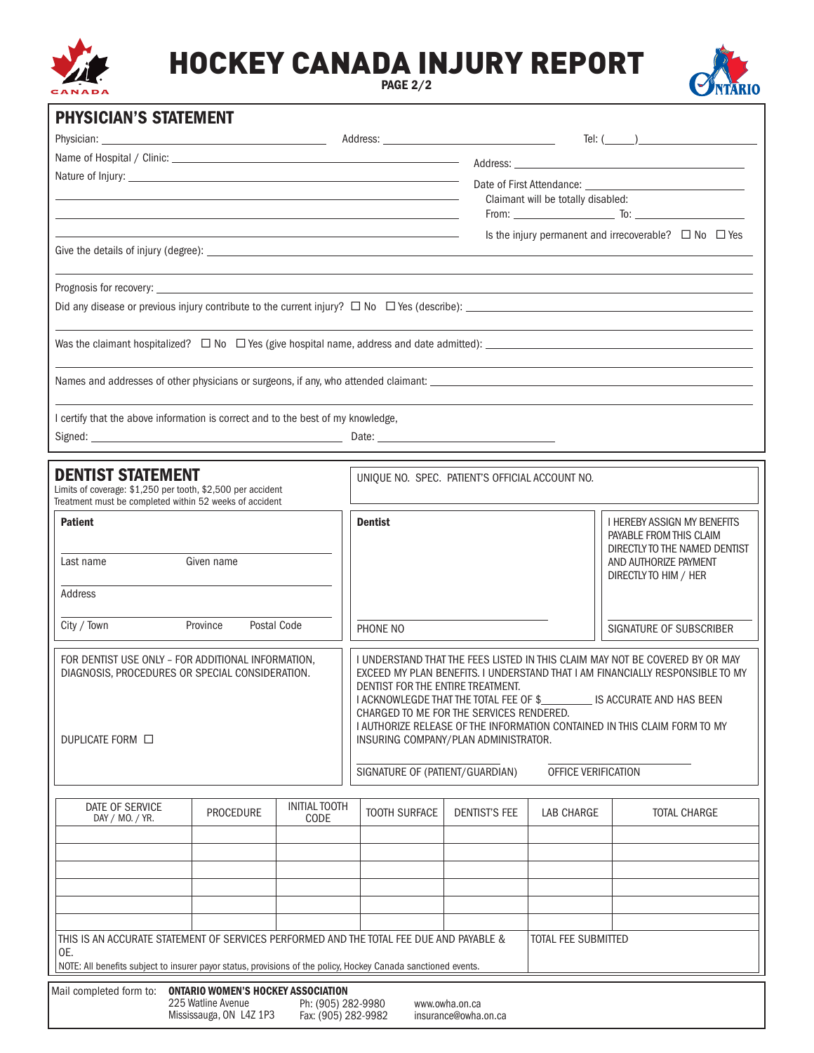

## HOCKEY CANADA INJURY REPORT

PAGE 2/2



| <b>PHYSICIAN'S STATEMENT</b>                                                                                                                                                                                     |                  |                                                                 |                                                                                                                                                                                                                                                                                                                                                                                                                                                                   |                      |                            |                                                                                                                                                |  |  |
|------------------------------------------------------------------------------------------------------------------------------------------------------------------------------------------------------------------|------------------|-----------------------------------------------------------------|-------------------------------------------------------------------------------------------------------------------------------------------------------------------------------------------------------------------------------------------------------------------------------------------------------------------------------------------------------------------------------------------------------------------------------------------------------------------|----------------------|----------------------------|------------------------------------------------------------------------------------------------------------------------------------------------|--|--|
|                                                                                                                                                                                                                  |                  |                                                                 |                                                                                                                                                                                                                                                                                                                                                                                                                                                                   |                      |                            | Tel: $(\_\_)$                                                                                                                                  |  |  |
|                                                                                                                                                                                                                  |                  |                                                                 |                                                                                                                                                                                                                                                                                                                                                                                                                                                                   |                      |                            |                                                                                                                                                |  |  |
|                                                                                                                                                                                                                  |                  |                                                                 | Date of First Attendance: <u>contract and the contract of the contract of the contract of the contract of the contract of the contract of the contract of the contract of the contract of the contract of the contract of the co</u><br><u>a sa barang ang pagbabang nagarang pang</u> alang na pangalang na pangalang na pangalang na pangalang na pangalang<br>Claimant will be totally disabled:<br><u> 1989 - Johann Stoff, amerikansk politiker (* 1908)</u> |                      |                            |                                                                                                                                                |  |  |
|                                                                                                                                                                                                                  |                  | Is the injury permanent and irrecoverable? $\Box$ No $\Box$ Yes |                                                                                                                                                                                                                                                                                                                                                                                                                                                                   |                      |                            |                                                                                                                                                |  |  |
|                                                                                                                                                                                                                  |                  |                                                                 |                                                                                                                                                                                                                                                                                                                                                                                                                                                                   |                      |                            |                                                                                                                                                |  |  |
|                                                                                                                                                                                                                  |                  |                                                                 |                                                                                                                                                                                                                                                                                                                                                                                                                                                                   |                      |                            |                                                                                                                                                |  |  |
|                                                                                                                                                                                                                  |                  |                                                                 |                                                                                                                                                                                                                                                                                                                                                                                                                                                                   |                      |                            | Was the claimant hospitalized? $\Box$ No $\Box$ Yes (give hospital name, address and date admitted): $\Box$ $\Box$ $\Box$ $\Box$ $\Box$ $\Box$ |  |  |
|                                                                                                                                                                                                                  |                  |                                                                 |                                                                                                                                                                                                                                                                                                                                                                                                                                                                   |                      |                            |                                                                                                                                                |  |  |
| I certify that the above information is correct and to the best of my knowledge,                                                                                                                                 |                  |                                                                 |                                                                                                                                                                                                                                                                                                                                                                                                                                                                   |                      |                            |                                                                                                                                                |  |  |
|                                                                                                                                                                                                                  |                  |                                                                 |                                                                                                                                                                                                                                                                                                                                                                                                                                                                   |                      |                            |                                                                                                                                                |  |  |
| <b>DENTIST STATEMENT</b><br>Limits of coverage: \$1,250 per tooth, \$2,500 per accident<br>Treatment must be completed within 52 weeks of accident                                                               |                  |                                                                 | UNIQUE NO. SPEC. PATIENT'S OFFICIAL ACCOUNT NO.                                                                                                                                                                                                                                                                                                                                                                                                                   |                      |                            |                                                                                                                                                |  |  |
| <b>Patient</b><br>Last name                                                                                                                                                                                      | Given name       |                                                                 | <b>Dentist</b>                                                                                                                                                                                                                                                                                                                                                                                                                                                    |                      |                            | I HEREBY ASSIGN MY BENEFITS<br>PAYABLE FROM THIS CLAIM<br>DIRECTLY TO THE NAMED DENTIST<br>AND AUTHORIZE PAYMENT                               |  |  |
| Address                                                                                                                                                                                                          |                  |                                                                 |                                                                                                                                                                                                                                                                                                                                                                                                                                                                   |                      |                            | DIRECTLY TO HIM / HER                                                                                                                          |  |  |
| City / Town<br>Postal Code<br>Province                                                                                                                                                                           |                  |                                                                 | PHONE NO                                                                                                                                                                                                                                                                                                                                                                                                                                                          |                      |                            | SIGNATURE OF SUBSCRIBER                                                                                                                        |  |  |
| FOR DENTIST USE ONLY - FOR ADDITIONAL INFORMATION,<br>DIAGNOSIS, PROCEDURES OR SPECIAL CONSIDERATION.<br>DUPLICATE FORM $\Box$                                                                                   |                  |                                                                 | I UNDERSTAND THAT THE FEES LISTED IN THIS CLAIM MAY NOT BE COVERED BY OR MAY<br>EXCEED MY PLAN BENEFITS. I UNDERSTAND THAT I AM FINANCIALLY RESPONSIBLE TO MY<br>DENTIST FOR THE ENTIRE TREATMENT.<br>I ACKNOWLEGDE THAT THE TOTAL FEE OF \$<br>IS ACCURATE AND HAS BEEN<br>CHARGED TO ME FOR THE SERVICES RENDERED.<br>I AUTHORIZE RELEASE OF THE INFORMATION CONTAINED IN THIS CLAIM FORM TO MY<br>INSURING COMPANY/PLAN ADMINISTRATOR.                         |                      |                            |                                                                                                                                                |  |  |
|                                                                                                                                                                                                                  |                  |                                                                 | SIGNATURE OF (PATIENT/GUARDIAN)                                                                                                                                                                                                                                                                                                                                                                                                                                   |                      | OFFICE VERIFICATION        |                                                                                                                                                |  |  |
| DATE OF SERVICE<br>DAY / MO. / YR.                                                                                                                                                                               | <b>PROCEDURE</b> | <b>INITIAL TOOTH</b><br>CODE                                    | <b>TOOTH SURFACE</b>                                                                                                                                                                                                                                                                                                                                                                                                                                              | <b>DENTIST'S FEE</b> | <b>LAB CHARGE</b>          | <b>TOTAL CHARGE</b>                                                                                                                            |  |  |
|                                                                                                                                                                                                                  |                  |                                                                 |                                                                                                                                                                                                                                                                                                                                                                                                                                                                   |                      |                            |                                                                                                                                                |  |  |
|                                                                                                                                                                                                                  |                  |                                                                 |                                                                                                                                                                                                                                                                                                                                                                                                                                                                   |                      |                            |                                                                                                                                                |  |  |
|                                                                                                                                                                                                                  |                  |                                                                 |                                                                                                                                                                                                                                                                                                                                                                                                                                                                   |                      |                            |                                                                                                                                                |  |  |
|                                                                                                                                                                                                                  |                  |                                                                 |                                                                                                                                                                                                                                                                                                                                                                                                                                                                   |                      |                            |                                                                                                                                                |  |  |
| THIS IS AN ACCURATE STATEMENT OF SERVICES PERFORMED AND THE TOTAL FEE DUE AND PAYABLE &<br>OE.<br>NOTE: All benefits subject to insurer payor status, provisions of the policy, Hockey Canada sanctioned events. |                  |                                                                 |                                                                                                                                                                                                                                                                                                                                                                                                                                                                   |                      | <b>TOTAL FEE SUBMITTED</b> |                                                                                                                                                |  |  |